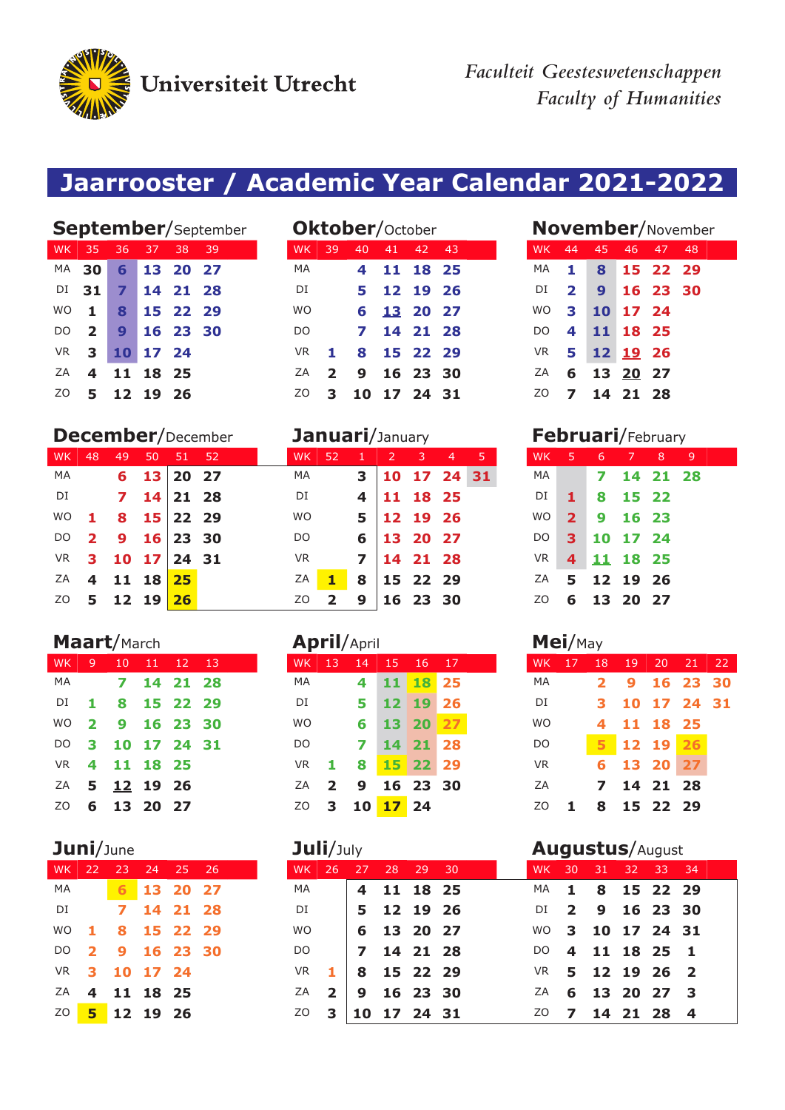Universiteit Utrecht

*Faculteit Geesteswetenschappen Faculty of Humanities*

# **Jaarrooster / Academic Year Calendar 2021-2022**

|           |                         |                |            |          | <b>September/September</b> |               |              | <b>Oktober/</b> October |    |             |  |           |                          | <b>November/November</b> |          |          |     |  |
|-----------|-------------------------|----------------|------------|----------|----------------------------|---------------|--------------|-------------------------|----|-------------|--|-----------|--------------------------|--------------------------|----------|----------|-----|--|
| WK.       | -35                     | 36             | 37         | 38       | -39                        | <b>WK</b>     | 39           | 40                      | 41 | 42 43       |  | WK .      | 44                       | 45                       | 46       | 47       | -48 |  |
|           | <b>MA 30</b>            |                | 6 13 20 27 |          |                            | MA            |              |                         |    | 11 18 25    |  | MA.       | $\mathbf{1}$             | 8                        |          | 15 22 29 |     |  |
|           | $DI$ 31                 | $\overline{7}$ |            | 14 21 28 |                            | DI            |              |                         |    | 5 12 19 26  |  | DI        | $\overline{\mathbf{2}}$  | $\mathbf{9}$             |          | 16 23 30 |     |  |
| <b>WO</b> | $-1$ .                  | 8              |            | 15 22 29 |                            | <b>WO</b>     |              |                         |    | 6 13 20 27  |  | <b>WO</b> | $\mathbf{3}$             |                          | 10 17 24 |          |     |  |
| DO.       | $\overline{2}$          |                | 9 16 23 30 |          |                            | <sub>DO</sub> |              |                         |    | 7 14 21 28  |  | DO.       | 4                        | 11 18 25                 |          |          |     |  |
| <b>VR</b> | 3 <sub>h</sub>          |                | 10 17 24   |          |                            | VR.           | $\mathbf{1}$ |                         |    | 8 15 22 29  |  |           |                          | VR 5 12 19 26            |          |          |     |  |
| ZA        | $\overline{\mathbf{4}}$ |                | 11 18 25   |          |                            | ZA            | $2^{\circ}$  | 9                       |    | 16 23 30    |  | ΖA        |                          | 6 13 20 27               |          |          |     |  |
| ZO.       | 5.                      |                | 12 19 26   |          |                            | ZO.           | 3            |                         |    | 10 17 24 31 |  | ZO.       | $\overline{\phantom{a}}$ |                          | 14 21 28 |          |     |  |

### **December**/December **Januari**/January **Februari**/February

| WK 48     |                         | 49                                      | 50 51 52 |            |  |
|-----------|-------------------------|-----------------------------------------|----------|------------|--|
| MA        |                         | $\overline{6}$                          |          | 13 20 27   |  |
| DI        |                         | $\overline{\mathbf{z}}$                 |          | $14$ 21 28 |  |
| <b>WO</b> |                         | $1815$ 22 29                            |          |            |  |
| DO        | $\overline{\mathbf{2}}$ | $2 \t9 \t16 \t23 \t30$<br>3 10 17 24 31 |          |            |  |
| VR        |                         |                                         |          |            |  |
| ZA        |                         | 4 11 18 25                              |          |            |  |
|           |                         | $5 \quad 12 \quad 19$                   |          | 26         |  |

|           |   | WK 9 10 11 12 13 |          |          |    |
|-----------|---|------------------|----------|----------|----|
| МA        |   | 7                |          | 14 21 28 |    |
| DI        |   | 1 8 15 22 29     |          |          |    |
| <b>WO</b> |   | 2 9 16 23        |          |          | 30 |
| DO        |   | 3 10 17 24 31    |          |          |    |
| VR.       |   | 4 11 18 25       |          |          |    |
| ΖA        |   | 5 12 19 26       |          |          |    |
| 70        | 6 |                  | 13 20 27 |          |    |

|           |   | WK 22 23 24 25 26 |          |          |  |
|-----------|---|-------------------|----------|----------|--|
| МA        |   | 6.                |          | 13 20 27 |  |
| DI        |   | $\mathbf{z}$      |          | 14 21 28 |  |
| <b>WO</b> |   | 1 8 15 22 29      |          |          |  |
| DO        |   | 2 9 16 23 30      |          |          |  |
| VR.       |   | 3 10 17 24        |          |          |  |
| ZΑ        | 4 |                   | 11 18 25 |          |  |
| ZO        |   | 5 12 19 26        |          |          |  |

|    | <b>September/September</b> |            |    |            |     |           |                | <b>Oktober/</b> October |            |       |  |                          |                         | <b>November/Novemb</b> |          |            |  |
|----|----------------------------|------------|----|------------|-----|-----------|----------------|-------------------------|------------|-------|--|--------------------------|-------------------------|------------------------|----------|------------|--|
|    | WK 35                      | 36         | 37 | 38         | -39 | <b>WK</b> | 39             | 40                      | 41         | 42 43 |  | <b>WK</b>                | 44                      | 45                     |          | 46 47 48   |  |
|    | MA 30                      |            |    | 6 13 20 27 |     | MA        |                |                         | 4 11 18 25 |       |  | MA                       | $\blacksquare$          |                        |          | 8 15 22 29 |  |
|    | DI 31                      |            |    | 7 14 21 28 |     | DI        |                |                         | 5 12 19 26 |       |  |                          |                         | DI 2 9 16 23 30        |          |            |  |
|    | WO 1                       |            |    | 8 15 22 29 |     | <b>WO</b> |                |                         | 6 13 20 27 |       |  | WO                       | $\mathbf{3}$            |                        | 10 17 24 |            |  |
|    | $DO$ 2                     |            |    | 9 16 23 30 |     | DO.       |                |                         | 7 14 21 28 |       |  | DO.                      | $\overline{\mathbf{4}}$ | 11 18 25               |          |            |  |
|    | $VR$ 3                     | 10 17 24   |    |            |     | VR.       | $\blacksquare$ |                         | 8 15 22 29 |       |  |                          |                         | VR 5 12 19 26          |          |            |  |
| ZA |                            | 4 11 18 25 |    |            |     | ZA        | $\overline{2}$ | 9 16 23 30              |            |       |  | ZA                       |                         | 6 13 20 27             |          |            |  |
| ZO |                            | 5 12 19 26 |    |            |     | ZO        | 3              | 10 17 24 31             |            |       |  | <sup>20</sup> 7 14 21 28 |                         |                        |          |            |  |
|    |                            |            |    |            |     |           |                |                         |            |       |  |                          |                         |                        |          |            |  |

| <b>WK</b> | 48   | -49                           | -50 | 51 52        |  | <b>WK</b> | -52                     | $1 \quad 2$                 | $\sim$ 3 | $\blacktriangleleft$ | 457 | WK.           | $5\quad 6$  |                         | 78       | - 91 |
|-----------|------|-------------------------------|-----|--------------|--|-----------|-------------------------|-----------------------------|----------|----------------------|-----|---------------|-------------|-------------------------|----------|------|
| MA        |      |                               |     | $6$ 13 20 27 |  | MA        |                         | 3   10 17 24 31             |          |                      |     | MA            |             | $\overline{\mathbf{z}}$ | 14 21 28 |      |
| DI        |      | $7 \quad 14 \mid 21 \quad 28$ |     |              |  | DI        |                         | $4 \mid 11 \mid 18 \mid 25$ |          |                      |     | DI            | <b>41</b> D |                         | 8 15 22  |      |
|           | WO 1 | 8 15 22 29                    |     |              |  | WO        |                         | $5 \mid 12 \mid 19 \mid 26$ |          |                      |     | WO            | $2^{\circ}$ |                         | 9 16 23  |      |
|           |      | DO 2 9 16 23 30               |     |              |  | DO.       |                         | $6 \mid 13 \mid 20 \mid 27$ |          |                      |     | DO            |             | 3 10 17 24              |          |      |
|           |      | VR 3 10 17 24 31              |     |              |  | <b>VR</b> |                         | $7 \mid 14 \mid 21 \mid 28$ |          |                      |     | VR            |             | 4 11 18 25              |          |      |
|           |      | ZA 4 11 18 25                 |     |              |  | ZA        | 1                       | 8 15 22 29                  |          |                      |     | ZA 5 12 19 26 |             |                         |          |      |
|           |      | ZO 5 12 19 26                 |     |              |  | ZO        | $\overline{\mathbf{2}}$ | $9 \mid 16 \n23 \n30$       |          |                      |     | ZO            |             | 6 13 20 27              |          |      |

|           | Maart/March             |     |          |               |     | <b>April/April</b> |                |    |           |             | $Mei$ /May |           |    |    |    |          |       |     |
|-----------|-------------------------|-----|----------|---------------|-----|--------------------|----------------|----|-----------|-------------|------------|-----------|----|----|----|----------|-------|-----|
| <b>WK</b> | 9                       | 10  | -11      | <sup>12</sup> | 13  | WK                 | 13             | 14 | 15        | 16          | 17         | WK        | 17 | 18 | 19 | 20       | 21    | -22 |
| MA        |                         |     | 14       | 21            | 28  | MA                 |                | 4  | 11        | 18          | 25         | MA        |    | 2  | 9  | 16       | 23    | -30 |
| DI        | 1.                      | 8   | -15      | 22 29         |     | DI                 |                | 5  |           | 19          | 26         | DI        |    | З  | 10 | 17       | 24 31 |     |
| <b>WO</b> | $\overline{\mathbf{2}}$ | 9   | 16       | -23           | -30 | <b>WO</b>          |                | 6  | 13        | 20          | 27         | <b>WO</b> |    | 4  | 11 | 18       | - 25  |     |
| DO.       | 3                       | 10  | -17      | 24 31         |     | DO                 |                |    | 14        | $\sqrt{21}$ | 28         | DO        |    | 5  |    | 12 19    | 26    |     |
| <b>VR</b> | 4                       | -11 | 18 25    |               |     | <b>VR</b>          | $\mathbf{1}$   | 8  | <b>15</b> | 22 29       |            | <b>VR</b> |    | 6  | 13 |          | 27    |     |
| ZA        | 5                       |     | 12 19 26 |               |     | ΖA                 | $\overline{2}$ | 9  |           | 16 23 30    |            | ΖA        |    | 7  | 14 | 21 28    |       |     |
| ZO        | 6                       |     | 13 20 27 |               |     | ZO                 | 3              | 10 |           | 1724        |            | ZO.       | 1. | 8  |    | 15 22 29 |       |     |

|  | WK 22 23 24 25 26 |  |  | WK 26 27 28 29 30 |                 |            |                    |  |                  | WK 30 31 32 33 34 |  |  |
|--|-------------------|--|--|-------------------|-----------------|------------|--------------------|--|------------------|-------------------|--|--|
|  | MA 6 13 20 27     |  |  | MA                |                 |            | 4 11 18 25         |  | MA 1 8 15 22 29  |                   |  |  |
|  | DI 7 14 21 28     |  |  | DI                |                 | 5 12 19 26 |                    |  | DI 2 9 16 23 30  |                   |  |  |
|  | WO 1 8 15 22 29   |  |  | WO                |                 |            | 6 13 20 27         |  | WO 3 10 17 24 31 |                   |  |  |
|  | DO 2 9 16 23 30   |  |  |                   | DO   7 14 21 28 |            |                    |  | DO 4 11 18 25 1  |                   |  |  |
|  | VR 3 10 17 24     |  |  | VR 1 8 15 22 29   |                 |            |                    |  | VR 5 12 19 26 2  |                   |  |  |
|  | ZA 4 11 18 25     |  |  |                   | ZA 2 9 16 23 30 |            |                    |  | ZA 6 13 20 27 3  |                   |  |  |
|  | ZO 5 12 19 26     |  |  |                   |                 |            | $20$ 3 10 17 24 31 |  | ZO 7 14 21 28 4  |                   |  |  |
|  |                   |  |  |                   |                 |            |                    |  |                  |                   |  |  |

| <b>November/November</b> |                         |             |            |  |      |  |  |  |  |  |  |  |  |
|--------------------------|-------------------------|-------------|------------|--|------|--|--|--|--|--|--|--|--|
| <b>WK</b>                |                         | 44 45 46 47 |            |  | - 48 |  |  |  |  |  |  |  |  |
| MA                       | 1                       |             | 8 15 22 29 |  |      |  |  |  |  |  |  |  |  |
| DI                       | $\overline{\mathbf{2}}$ |             | 9 16 23 30 |  |      |  |  |  |  |  |  |  |  |
| <b>WO</b>                | 3                       |             | 10 17 24   |  |      |  |  |  |  |  |  |  |  |
| DΟ                       | 4                       |             | 11 18 25   |  |      |  |  |  |  |  |  |  |  |
| <b>VR</b>                | 5                       | 12 19 26    |            |  |      |  |  |  |  |  |  |  |  |
| ZA                       | 6                       | 13 20 27    |            |  |      |  |  |  |  |  |  |  |  |
| Z0                       |                         | 7 14 21 28  |            |  |      |  |  |  |  |  |  |  |  |

|              | WK 5 6 7 8 9  |  |  |
|--------------|---------------|--|--|
| MA <b>MA</b> | 7 14 21 28    |  |  |
|              | DI 1 8 15 22  |  |  |
| <b>WO</b>    | 2 9 16 23     |  |  |
| DO.          | 3 10 17 24    |  |  |
|              | VR 4 11 18 25 |  |  |
|              | ZA 5 12 19 26 |  |  |
| ZO -         | 6 13 20 27    |  |  |

|           |   | WK 17 18 19 20 21 22 |          |             |  |
|-----------|---|----------------------|----------|-------------|--|
| MA        |   | 2 9 16 23 30         |          |             |  |
| DI        | 3 |                      |          | 10 17 24 31 |  |
| <b>WO</b> | 4 |                      | 11 18 25 |             |  |
| DO        |   | 12 19 26             |          |             |  |
| <b>VR</b> | 6 |                      | 13 20 27 |             |  |
| ZA        |   | 7 14 21 28           |          |             |  |
| ZO        |   | 8 15 22 29           |          |             |  |
|           |   |                      |          |             |  |

### **Juni**/June **Juli**/July **Augustus**/August

|  | WK 30 31 32 33 34 |  |  |
|--|-------------------|--|--|
|  | MA 1 8 15 22 29   |  |  |
|  | DI 2 9 16 23 30   |  |  |
|  | WO 3 10 17 24 31  |  |  |
|  | DO 4 11 18 25 1   |  |  |
|  | VR 5 12 19 26 2   |  |  |
|  | ZA 6 13 20 27 3   |  |  |
|  | ZO 7 14 21 28 4   |  |  |
|  |                   |  |  |